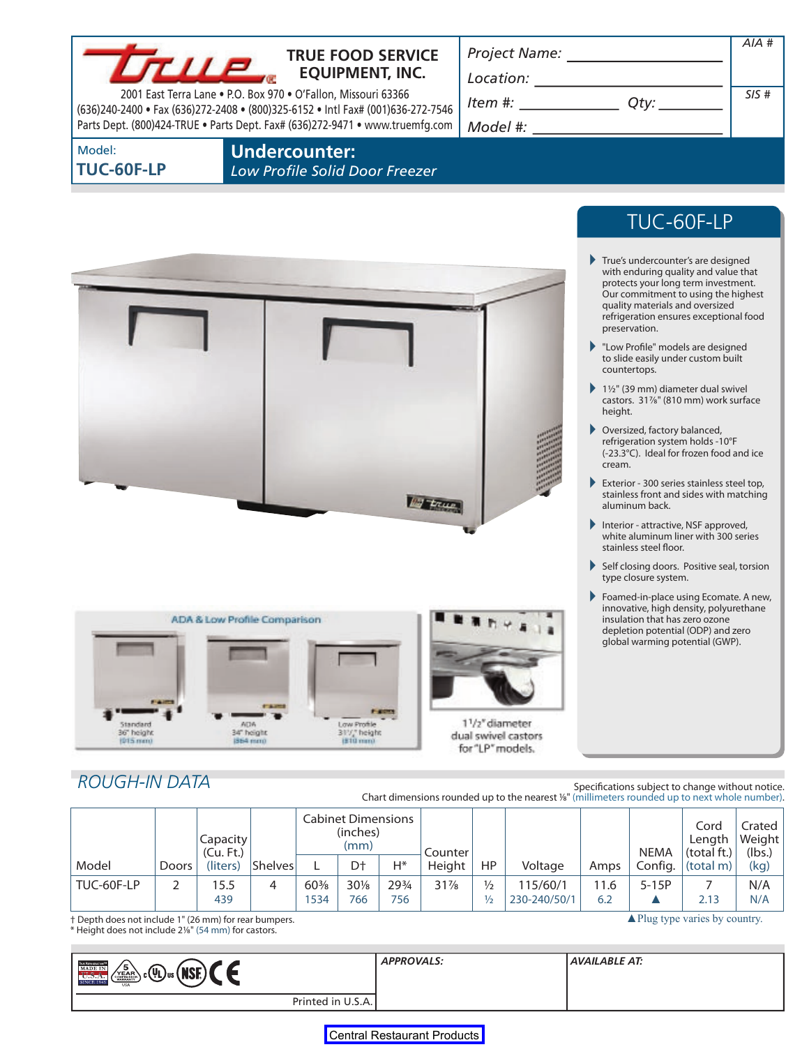|                                                                                                                                                                          |                 |                              | <b>TRUE FOOD SERVICE</b>                                                                    |                  |                        |                |                   |                                      |                                                                                                                                                                                                                                                                                                                                                                                             |                   |                                                                                                                                   |                                                                                                                                                                                                                                                                                                                                                                                                                                                                                                                                                                                                                                                                                                      | $AIA$ #        |
|--------------------------------------------------------------------------------------------------------------------------------------------------------------------------|-----------------|------------------------------|---------------------------------------------------------------------------------------------|------------------|------------------------|----------------|-------------------|--------------------------------------|---------------------------------------------------------------------------------------------------------------------------------------------------------------------------------------------------------------------------------------------------------------------------------------------------------------------------------------------------------------------------------------------|-------------------|-----------------------------------------------------------------------------------------------------------------------------------|------------------------------------------------------------------------------------------------------------------------------------------------------------------------------------------------------------------------------------------------------------------------------------------------------------------------------------------------------------------------------------------------------------------------------------------------------------------------------------------------------------------------------------------------------------------------------------------------------------------------------------------------------------------------------------------------------|----------------|
| TII P                                                                                                                                                                    |                 |                              |                                                                                             |                  | <b>EQUIPMENT, INC.</b> |                |                   |                                      | $\begin{picture}(150,10) \put(0,0){\dashbox{0.5}(10,0){ }} \put(15,0){\circle{10}} \put(15,0){\circle{10}} \put(15,0){\circle{10}} \put(15,0){\circle{10}} \put(15,0){\circle{10}} \put(15,0){\circle{10}} \put(15,0){\circle{10}} \put(15,0){\circle{10}} \put(15,0){\circle{10}} \put(15,0){\circle{10}} \put(15,0){\circle{10}} \put(15,0){\circle{10}} \put(15,0){\circle{10}} \put(15$ |                   |                                                                                                                                   |                                                                                                                                                                                                                                                                                                                                                                                                                                                                                                                                                                                                                                                                                                      |                |
| 2001 East Terra Lane . P.O. Box 970 . O'Fallon, Missouri 63366<br>(636)240-2400 · Fax (636)272-2408 · (800)325-6152 · Intl Fax# (001)636-272-7546                        |                 |                              |                                                                                             |                  |                        |                |                   | $Item #: __________ Qty: __________$ |                                                                                                                                                                                                                                                                                                                                                                                             |                   |                                                                                                                                   | SIS#                                                                                                                                                                                                                                                                                                                                                                                                                                                                                                                                                                                                                                                                                                 |                |
| Parts Dept. (800)424-TRUE . Parts Dept. Fax# (636)272-9471 . www.truemfg.com                                                                                             |                 |                              |                                                                                             |                  |                        |                |                   |                                      |                                                                                                                                                                                                                                                                                                                                                                                             |                   |                                                                                                                                   |                                                                                                                                                                                                                                                                                                                                                                                                                                                                                                                                                                                                                                                                                                      |                |
| Model:<br><b>TUC-60F-LP</b>                                                                                                                                              |                 |                              | <b>Undercounter:</b><br>Low Profile Solid Door Freezer                                      |                  |                        |                |                   |                                      |                                                                                                                                                                                                                                                                                                                                                                                             |                   |                                                                                                                                   |                                                                                                                                                                                                                                                                                                                                                                                                                                                                                                                                                                                                                                                                                                      |                |
|                                                                                                                                                                          |                 |                              |                                                                                             |                  |                        |                |                   |                                      |                                                                                                                                                                                                                                                                                                                                                                                             |                   |                                                                                                                                   | TUC-60F-LP                                                                                                                                                                                                                                                                                                                                                                                                                                                                                                                                                                                                                                                                                           |                |
|                                                                                                                                                                          |                 |                              |                                                                                             |                  |                        |                |                   |                                      |                                                                                                                                                                                                                                                                                                                                                                                             | height.<br>cream. | preservation.<br>countertops.<br>Oversized, factory balanced,<br>aluminum back.<br>stainless steel floor.<br>type closure system. | True's undercounter's are designed<br>with enduring quality and value that<br>protects your long term investment.<br>Our commitment to using the highest<br>quality materials and oversized<br>refrigeration ensures exceptional food<br>"Low Profile" models are designed<br>to slide easily under custom built<br>11/2" (39 mm) diameter dual swivel<br>castors. 31%" (810 mm) work surface<br>refrigeration system holds -10°F<br>(-23.3°C). Ideal for frozen food and ice<br>Exterior - 300 series stainless steel top,<br>stainless front and sides with matching<br>Interior - attractive, NSF approved,<br>white aluminum liner with 300 series<br>Self closing doors. Positive seal, torsion |                |
|                                                                                                                                                                          | <b>START OF</b> | ADA & Low Profile Comparison | <b>TARMS</b>                                                                                |                  |                        | <b>Program</b> |                   |                                      |                                                                                                                                                                                                                                                                                                                                                                                             |                   | insulation that has zero ozone                                                                                                    | Foamed-in-place using Ecomate. A new,<br>innovative, high density, polyurethane<br>depletion potential (ODP) and zero<br>global warming potential (GWP).                                                                                                                                                                                                                                                                                                                                                                                                                                                                                                                                             |                |
| <b>ADA</b><br>Standard<br>36" height<br>34" height<br>$1015 \text{ mm}$<br><b>1964 mm</b>                                                                                |                 |                              | $11/2''$ diameter<br>Low Profile<br>311/2 height<br>dual swivel castors<br>for "LP" models. |                  |                        |                |                   |                                      |                                                                                                                                                                                                                                                                                                                                                                                             |                   |                                                                                                                                   |                                                                                                                                                                                                                                                                                                                                                                                                                                                                                                                                                                                                                                                                                                      |                |
|                                                                                                                                                                          |                 |                              |                                                                                             |                  |                        |                |                   |                                      |                                                                                                                                                                                                                                                                                                                                                                                             |                   |                                                                                                                                   |                                                                                                                                                                                                                                                                                                                                                                                                                                                                                                                                                                                                                                                                                                      |                |
| <b>ROUGH-IN DATA</b><br>Specifications subject to change without notice.<br>Chart dimensions rounded up to the nearest %" (millimeters rounded up to next whole number). |                 |                              |                                                                                             |                  |                        |                |                   |                                      |                                                                                                                                                                                                                                                                                                                                                                                             |                   |                                                                                                                                   |                                                                                                                                                                                                                                                                                                                                                                                                                                                                                                                                                                                                                                                                                                      |                |
| <b>Cabinet Dimensions</b>                                                                                                                                                |                 |                              |                                                                                             |                  |                        |                |                   |                                      |                                                                                                                                                                                                                                                                                                                                                                                             |                   |                                                                                                                                   |                                                                                                                                                                                                                                                                                                                                                                                                                                                                                                                                                                                                                                                                                                      |                |
|                                                                                                                                                                          |                 | Capacity                     |                                                                                             | (inches)<br>(mm) |                        |                |                   |                                      |                                                                                                                                                                                                                                                                                                                                                                                             |                   | Cord<br>Length                                                                                                                    | Crated<br>Weight                                                                                                                                                                                                                                                                                                                                                                                                                                                                                                                                                                                                                                                                                     |                |
| Model                                                                                                                                                                    | Doors           | (Cu. Ft.)<br>(liters)        | Shelves                                                                                     | L                | Dt                     | $H^*$          | Counter<br>Height | HP                                   | Voltage                                                                                                                                                                                                                                                                                                                                                                                     | Amps              | <b>NEMA</b><br>Config.                                                                                                            | (total ft.)<br>(total m)                                                                                                                                                                                                                                                                                                                                                                                                                                                                                                                                                                                                                                                                             | (lbs.)<br>(kg) |
| TUC-60F-LP                                                                                                                                                               | 2               | 15.5                         | 4                                                                                           | 60%              | 301/8                  | 293/4          | $31\%$            | $\frac{1}{2}$                        | 115/60/1                                                                                                                                                                                                                                                                                                                                                                                    | 11.6              | $5-15P$                                                                                                                           | $\overline{7}$                                                                                                                                                                                                                                                                                                                                                                                                                                                                                                                                                                                                                                                                                       | N/A            |

† Depth does not include 1" (26 mm) for rear bumpers. ▲Plug type varies by country.

\* Height does not include 21⁄8" (54 mm) for castors.

 $\overline{\phantom{a}}$ 

| <b>THE REPRODUCTION</b><br>′5<br>$\sqrt{a}$<br><b>MADE IN</b><br>(мог)<br>U.S.A. (COMPRESSOR)<br>չ շ (ԿU)սs ( NS<br><b>SINCE 1943</b><br><b>USA</b> | <b>APPROVALS:</b> | AVAILABLE AT: |
|-----------------------------------------------------------------------------------------------------------------------------------------------------|-------------------|---------------|
| Printed in U.S.A.                                                                                                                                   |                   |               |

439 | 1534 | 766 | 756 | 1/2 | 230-240/50/1 | 6.2 | ▲ | 2.13 | N/A